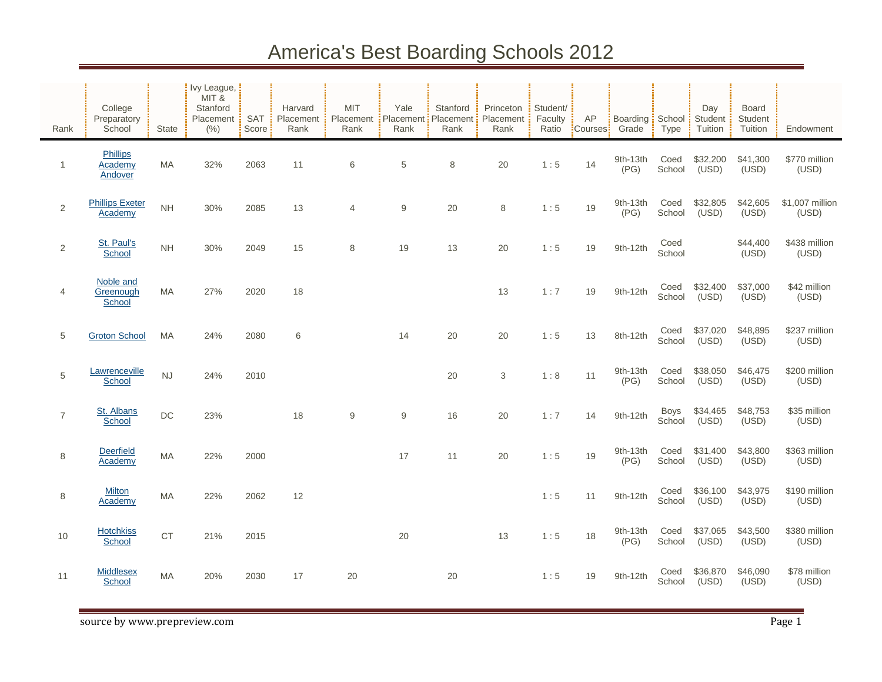## America's Best Boarding Schools 2012

| Rank             | College<br>Preparatory<br>School  | State     | Ivy League,<br>MIT &<br>Stanford<br>Placement<br>(% ) | <b>SAT</b><br>Score | Harvard<br>Placement<br>Rank | <b>MIT</b><br>Placement<br>Rank | Yale<br>Placement Placement<br>Rank | Stanford<br>Rank | Princeton<br>Placement<br>Rank | Student/<br>Faculty<br>Ratio | AP<br>∃Courses | Boarding !<br>Grade | School<br>Type        | Day<br>Student<br>Tuition | <b>Board</b><br><b>Student</b><br>Tuition | Endowment                |
|------------------|-----------------------------------|-----------|-------------------------------------------------------|---------------------|------------------------------|---------------------------------|-------------------------------------|------------------|--------------------------------|------------------------------|----------------|---------------------|-----------------------|---------------------------|-------------------------------------------|--------------------------|
| $\overline{1}$   | Phillips<br>Academy<br>Andover    | MA        | 32%                                                   | 2063                | 11                           | $\,6$                           | 5                                   | $\,8\,$          | 20                             | 1:5                          | 14             | 9th-13th<br>(PG)    | Coed<br>School        | \$32,200<br>(USD)         | \$41,300<br>(USD)                         | \$770 million<br>(USD)   |
| 2                | <b>Phillips Exeter</b><br>Academy | <b>NH</b> | 30%                                                   | 2085                | 13                           | $\overline{4}$                  | 9                                   | 20               | 8                              | 1:5                          | 19             | 9th-13th<br>(PG)    | Coed<br>School        | \$32,805<br>(USD)         | \$42,605<br>(USD)                         | \$1,007 million<br>(USD) |
| $\sqrt{2}$       | St. Paul's<br>School              | NH        | $30\%$                                                | 2049                | 15                           | 8                               | 19                                  | 13               | 20                             | 1:5                          | 19             | 9th-12th            | Coed<br>School        |                           | \$44,400<br>(USD)                         | \$438 million<br>(USD)   |
| 4                | Noble and<br>Greenough<br>School  | <b>MA</b> | 27%                                                   | 2020                | 18                           |                                 |                                     |                  | 13                             | 1:7                          | 19             | 9th-12th            | Coed<br>School        | \$32,400<br>(USD)         | \$37,000<br>(USD)                         | \$42 million<br>(USD)    |
| 5                | <b>Groton School</b>              | MA        | 24%                                                   | 2080                | 6                            |                                 | 14                                  | 20               | 20                             | 1:5                          | 13             | 8th-12th            | Coed<br>School        | \$37,020<br>(USD)         | \$48,895<br>(USD)                         | \$237 million<br>(USD)   |
| 5                | Lawrenceville<br>School           | <b>NJ</b> | 24%                                                   | 2010                |                              |                                 |                                     | 20               | 3                              | 1:8                          | 11             | 9th-13th<br>(PG)    | Coed<br>School        | \$38,050<br>(USD)         | \$46,475<br>(USD)                         | \$200 million<br>(USD)   |
| $\boldsymbol{7}$ | St. Albans<br>School              | DC        | 23%                                                   |                     | 18                           | $9\,$                           | 9                                   | 16               | 20                             | 1:7                          | 14             | 9th-12th            | <b>Boys</b><br>School | \$34,465<br>(USD)         | \$48,753<br>(USD)                         | \$35 million<br>(USD)    |
| $\,8\,$          | <b>Deerfield</b><br>Academy       | MA        | 22%                                                   | 2000                |                              |                                 | 17                                  | 11               | 20                             | 1:5                          | 19             | 9th-13th<br>(PG)    | Coed<br>School        | \$31,400<br>(USD)         | \$43,800<br>(USD)                         | \$363 million<br>(USD)   |
| $\,8\,$          | <b>Milton</b><br>Academy          | <b>MA</b> | 22%                                                   | 2062                | 12                           |                                 |                                     |                  |                                | 1:5                          | 11             | 9th-12th            | Coed<br>School        | \$36,100<br>(USD)         | \$43,975<br>(USD)                         | \$190 million<br>(USD)   |
| 10               | <b>Hotchkiss</b><br>School        | CT        | 21%                                                   | 2015                |                              |                                 | 20                                  |                  | 13                             | 1:5                          | 18             | 9th-13th<br>(PG)    | Coed<br>School        | \$37,065<br>(USD)         | \$43,500<br>(USD)                         | \$380 million<br>(USD)   |
| 11               | <b>Middlesex</b><br>School        | MA        | 20%                                                   | 2030                | 17                           | 20                              |                                     | 20               |                                | 1:5                          | 19             | 9th-12th            | Coed<br>School        | \$36,870<br>(USD)         | \$46,090<br>(USD)                         | \$78 million<br>(USD)    |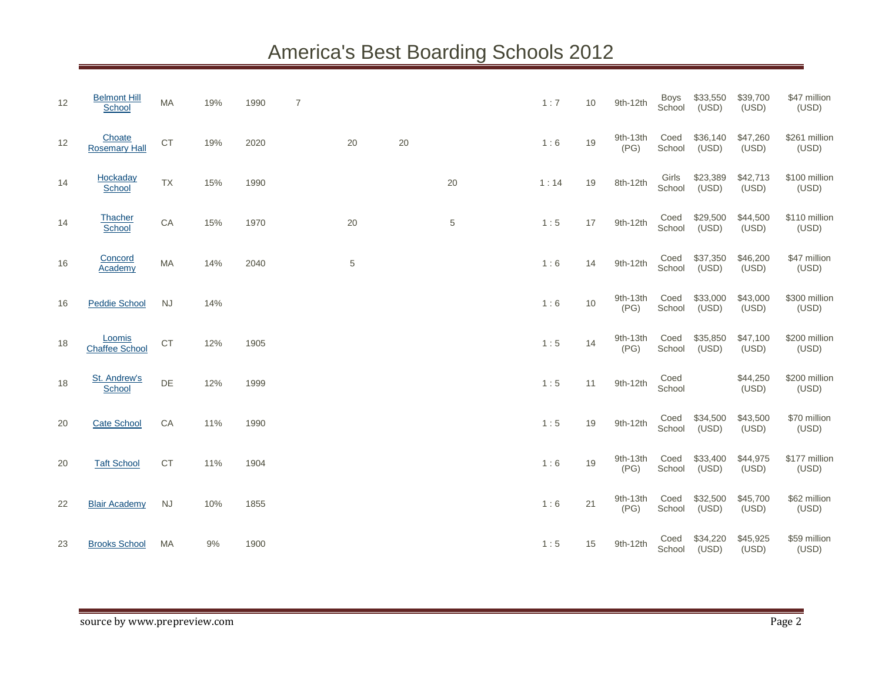## America's Best Boarding Schools 2012

| 12 | <b>Belmont Hill</b><br>School   | MA        | 19% | 1990 | $\overline{7}$ |             |    |    | 1:7  | 10 | 9th-12th         | <b>Boys</b><br>School | \$33,550<br>(USD) | \$39,700<br>(USD) | \$47 million<br>(USD)  |
|----|---------------------------------|-----------|-----|------|----------------|-------------|----|----|------|----|------------------|-----------------------|-------------------|-------------------|------------------------|
| 12 | Choate<br><b>Rosemary Hall</b>  | <b>CT</b> | 19% | 2020 |                | 20          | 20 |    | 1:6  | 19 | 9th-13th<br>(PG) | Coed<br>School        | \$36,140<br>(USD) | \$47,260<br>(USD) | \$261 million<br>(USD) |
| 14 | Hockaday<br>School              | <b>TX</b> | 15% | 1990 |                |             |    | 20 | 1:14 | 19 | 8th-12th         | Girls<br>School       | \$23,389<br>(USD) | \$42,713<br>(USD) | \$100 million<br>(USD) |
| 14 | <b>Thacher</b><br>School        | CA        | 15% | 1970 |                | 20          |    | 5  | 1:5  | 17 | 9th-12th         | Coed<br>School        | \$29,500<br>(USD) | \$44,500<br>(USD) | \$110 million<br>(USD) |
| 16 | Concord<br>Academy              | MA        | 14% | 2040 |                | $\,$ 5 $\,$ |    |    | 1:6  | 14 | 9th-12th         | Coed<br>School        | \$37,350<br>(USD) | \$46,200<br>(USD) | \$47 million<br>(USD)  |
| 16 | <b>Peddie School</b>            | NJ        | 14% |      |                |             |    |    | 1:6  | 10 | 9th-13th<br>(PG) | Coed<br>School        | \$33,000<br>(USD) | \$43,000<br>(USD) | \$300 million<br>(USD) |
| 18 | Loomis<br><b>Chaffee School</b> | CT        | 12% | 1905 |                |             |    |    | 1:5  | 14 | 9th-13th<br>(PG) | Coed<br>School        | \$35,850<br>(USD) | \$47,100<br>(USD) | \$200 million<br>(USD) |
| 18 | St. Andrew's<br>School          | DE        | 12% | 1999 |                |             |    |    | 1:5  | 11 | 9th-12th         | Coed<br>School        |                   | \$44,250<br>(USD) | \$200 million<br>(USD) |
| 20 | <b>Cate School</b>              | CA        | 11% | 1990 |                |             |    |    | 1:5  | 19 | 9th-12th         | Coed<br>School        | \$34,500<br>(USD) | \$43,500<br>(USD) | \$70 million<br>(USD)  |
| 20 | <b>Taft School</b>              | CT        | 11% | 1904 |                |             |    |    | 1:6  | 19 | 9th-13th<br>(PG) | Coed<br>School        | \$33,400<br>(USD) | \$44,975<br>(USD) | \$177 million<br>(USD) |
| 22 | <b>Blair Academy</b>            | <b>NJ</b> | 10% | 1855 |                |             |    |    | 1:6  | 21 | 9th-13th<br>(PG) | Coed<br>School        | \$32,500<br>(USD) | \$45,700<br>(USD) | \$62 million<br>(USD)  |
| 23 | <b>Brooks School</b>            | MA        | 9%  | 1900 |                |             |    |    | 1:5  | 15 | 9th-12th         | Coed<br>School        | \$34,220<br>(USD) | \$45,925<br>(USD) | \$59 million<br>(USD)  |